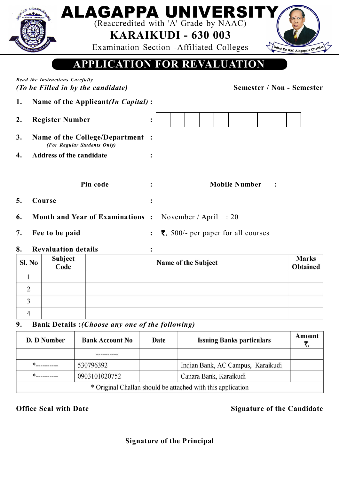|                                                                                                           |                                                                 |                | ALAGAPPA UNIVERSITY<br>(Reaccredited with 'A' Grade by NAAC)<br><b>KARAIKUDI - 630 003</b><br>Examination Section - Affiliated Colleges<br>Vallal Dr. RM. Alagappa Chettlar |  |  |  |  |  |  |  |
|-----------------------------------------------------------------------------------------------------------|-----------------------------------------------------------------|----------------|-----------------------------------------------------------------------------------------------------------------------------------------------------------------------------|--|--|--|--|--|--|--|
| <b>APPLICATION FOR REVALUATION</b>                                                                        |                                                                 |                |                                                                                                                                                                             |  |  |  |  |  |  |  |
| Read the Instructions Carefully<br><b>Semester / Non - Semester</b><br>(To be Filled in by the candidate) |                                                                 |                |                                                                                                                                                                             |  |  |  |  |  |  |  |
| Name of the Applicant(In Capital):<br>1.                                                                  |                                                                 |                |                                                                                                                                                                             |  |  |  |  |  |  |  |
| 2.                                                                                                        | <b>Register Number</b>                                          | $\ddot{\cdot}$ |                                                                                                                                                                             |  |  |  |  |  |  |  |
| 3.                                                                                                        | Name of the College/Department :<br>(For Regular Students Only) |                |                                                                                                                                                                             |  |  |  |  |  |  |  |
|                                                                                                           | <b>Address of the candidate</b>                                 |                |                                                                                                                                                                             |  |  |  |  |  |  |  |
|                                                                                                           | Pin code                                                        |                | <b>Mobile Number</b>                                                                                                                                                        |  |  |  |  |  |  |  |
| 5.                                                                                                        | Course                                                          |                |                                                                                                                                                                             |  |  |  |  |  |  |  |
| 6.                                                                                                        | <b>Month and Year of Examinations:</b>                          |                | November / April $: 20$                                                                                                                                                     |  |  |  |  |  |  |  |
| 7.                                                                                                        | Fee to be paid                                                  |                | <b>₹.</b> 500/- per paper for all courses                                                                                                                                   |  |  |  |  |  |  |  |

### **8. Revaluation details :**

| Sl. No | Subject<br>Code | Name of the Subject | <b>Marks</b><br><b>Obtained</b> |
|--------|-----------------|---------------------|---------------------------------|
|        |                 |                     |                                 |
|        |                 |                     |                                 |
|        |                 |                     |                                 |
|        |                 |                     |                                 |

# **9. Bank Details :***(Choose any one of the following)*

| D. D Number                                                 | <b>Bank Account No</b> |  | <b>Issuing Banks particulars</b>  | Amount |  |  |  |  |
|-------------------------------------------------------------|------------------------|--|-----------------------------------|--------|--|--|--|--|
|                                                             |                        |  |                                   |        |  |  |  |  |
|                                                             | 530796392              |  | Indian Bank, AC Campus, Karaikudi |        |  |  |  |  |
|                                                             | 0903101020752          |  | Canara Bank, Karaikudi            |        |  |  |  |  |
| * Original Challan should be attached with this application |                        |  |                                   |        |  |  |  |  |

#### **Office Seal with Date Signature of the Candidate**

# **Signature of the Principal**